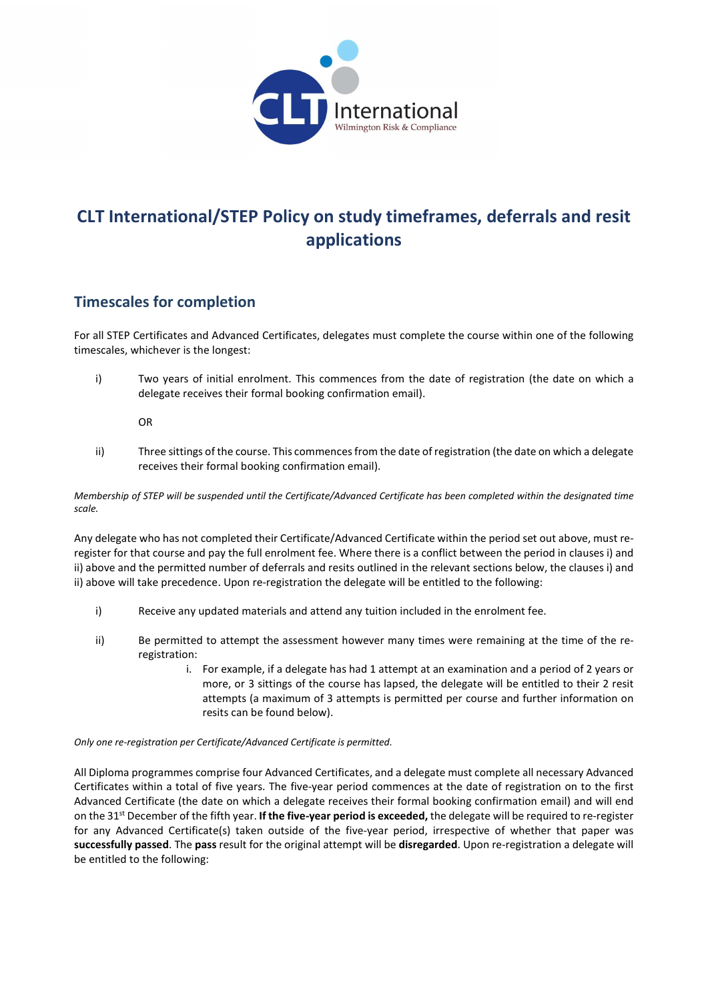

# CLT International/STEP Policy on study timeframes, deferrals and resit applications

### Timescales for completion

For all STEP Certificates and Advanced Certificates, delegates must complete the course within one of the following timescales, whichever is the longest:

i) Two years of initial enrolment. This commences from the date of registration (the date on which a delegate receives their formal booking confirmation email).

OR

ii) Three sittings of the course. This commences from the date of registration (the date on which a delegate receives their formal booking confirmation email).

Membership of STEP will be suspended until the Certificate/Advanced Certificate has been completed within the designated time scale.

Any delegate who has not completed their Certificate/Advanced Certificate within the period set out above, must reregister for that course and pay the full enrolment fee. Where there is a conflict between the period in clauses i) and ii) above and the permitted number of deferrals and resits outlined in the relevant sections below, the clauses i) and ii) above will take precedence. Upon re-registration the delegate will be entitled to the following:

- i) Receive any updated materials and attend any tuition included in the enrolment fee.
- ii) Be permitted to attempt the assessment however many times were remaining at the time of the reregistration:
	- i. For example, if a delegate has had 1 attempt at an examination and a period of 2 years or more, or 3 sittings of the course has lapsed, the delegate will be entitled to their 2 resit attempts (a maximum of 3 attempts is permitted per course and further information on resits can be found below).

#### Only one re-registration per Certificate/Advanced Certificate is permitted.

All Diploma programmes comprise four Advanced Certificates, and a delegate must complete all necessary Advanced Certificates within a total of five years. The five-year period commences at the date of registration on to the first Advanced Certificate (the date on which a delegate receives their formal booking confirmation email) and will end on the 31<sup>st</sup> December of the fifth year. If the five-year period is exceeded, the delegate will be required to re-register for any Advanced Certificate(s) taken outside of the five-year period, irrespective of whether that paper was successfully passed. The pass result for the original attempt will be disregarded. Upon re-registration a delegate will be entitled to the following: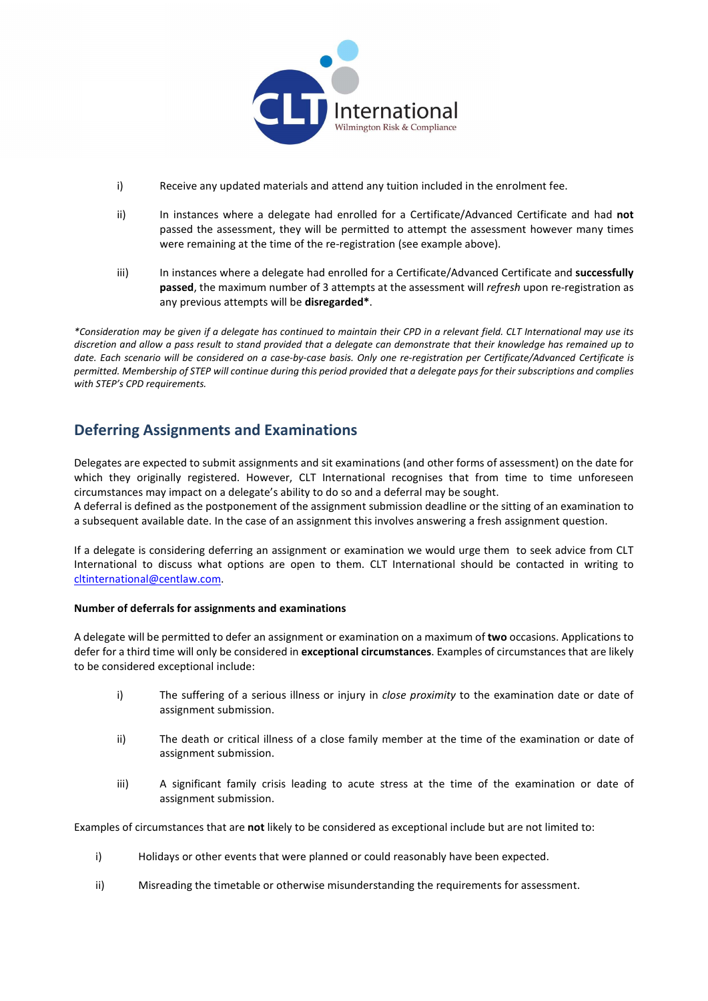

- i) Receive any updated materials and attend any tuition included in the enrolment fee.
- ii) In instances where a delegate had enrolled for a Certificate/Advanced Certificate and had not passed the assessment, they will be permitted to attempt the assessment however many times were remaining at the time of the re-registration (see example above).
- iii) In instances where a delegate had enrolled for a Certificate/Advanced Certificate and successfully passed, the maximum number of 3 attempts at the assessment will refresh upon re-registration as any previous attempts will be disregarded\*.

\*Consideration may be given if a delegate has continued to maintain their CPD in a relevant field. CLT International may use its discretion and allow a pass result to stand provided that a delegate can demonstrate that their knowledge has remained up to date. Each scenario will be considered on a case-by-case basis. Only one re-registration per Certificate/Advanced Certificate is permitted. Membership of STEP will continue during this period provided that a delegate pays for their subscriptions and complies with STEP's CPD requirements.

## Deferring Assignments and Examinations

Delegates are expected to submit assignments and sit examinations (and other forms of assessment) on the date for which they originally registered. However, CLT International recognises that from time to time unforeseen circumstances may impact on a delegate's ability to do so and a deferral may be sought.

A deferral is defined as the postponement of the assignment submission deadline or the sitting of an examination to a subsequent available date. In the case of an assignment this involves answering a fresh assignment question.

If a delegate is considering deferring an assignment or examination we would urge them to seek advice from CLT International to discuss what options are open to them. CLT International should be contacted in writing to cltinternational@centlaw.com.

#### Number of deferrals for assignments and examinations

A delegate will be permitted to defer an assignment or examination on a maximum of two occasions. Applications to defer for a third time will only be considered in exceptional circumstances. Examples of circumstances that are likely to be considered exceptional include:

- i) The suffering of a serious illness or injury in *close proximity* to the examination date or date of assignment submission.
- ii) The death or critical illness of a close family member at the time of the examination or date of assignment submission.
- iii) A significant family crisis leading to acute stress at the time of the examination or date of assignment submission.

Examples of circumstances that are not likely to be considered as exceptional include but are not limited to:

- i) Holidays or other events that were planned or could reasonably have been expected.
- ii) Misreading the timetable or otherwise misunderstanding the requirements for assessment.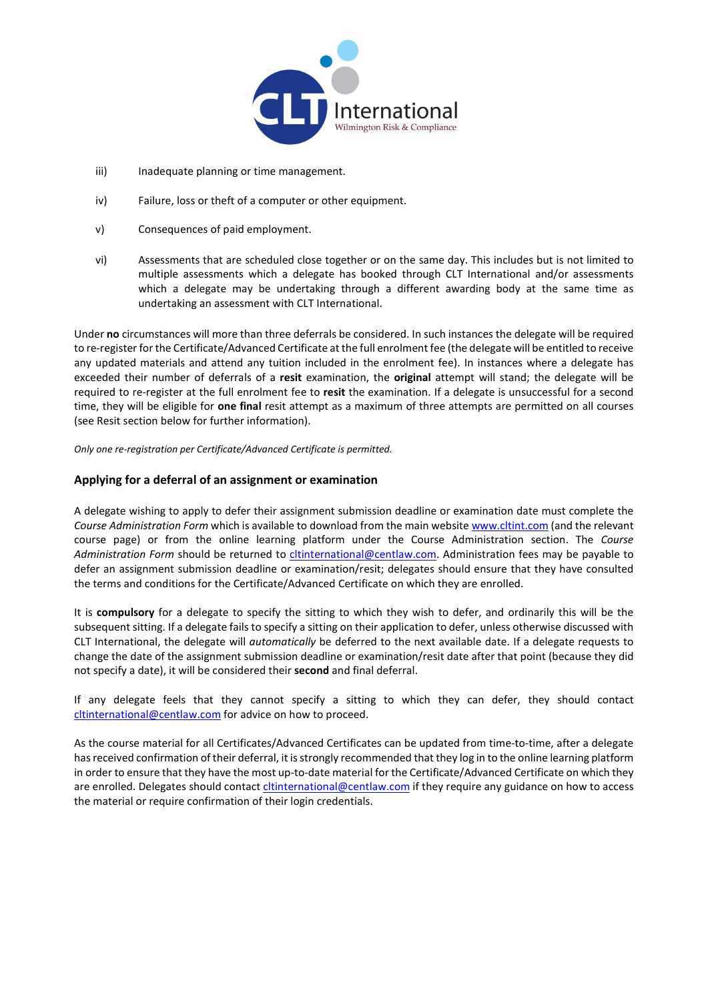

- iii) Inadequate planning or time management.
- iv) Failure, loss or theft of a computer or other equipment.
- v) Consequences of paid employment.
- vi) Assessments that are scheduled close together or on the same day. This includes but is not limited to multiple assessments which a delegate has booked through CLT International and/or assessments which a delegate may be undertaking through a different awarding body at the same time as undertaking an assessment with CLT International.

Under no circumstances will more than three deferrals be considered. In such instances the delegate will be required to re-register for the Certificate/Advanced Certificate at the full enrolment fee (the delegate will be entitled to receive any updated materials and attend any tuition included in the enrolment fee). In instances where a delegate has exceeded their number of deferrals of a resit examination, the original attempt will stand; the delegate will be required to re-register at the full enrolment fee to resit the examination. If a delegate is unsuccessful for a second time, they will be eligible for one final resit attempt as a maximum of three attempts are permitted on all courses (see Resit section below for further information).

Only one re-registration per Certificate/Advanced Certificate is permitted.

### Applying for a deferral of an assignment or examination

A delegate wishing to apply to defer their assignment submission deadline or examination date must complete the Course Administration Form which is available to download from the main website www.cltint.com (and the relevant course page) or from the online learning platform under the Course Administration section. The Course Administration Form should be returned to citinternational@centlaw.com. Administration fees may be payable to defer an assignment submission deadline or examination/resit; delegates should ensure that they have consulted the terms and conditions for the Certificate/Advanced Certificate on which they are enrolled.

It is compulsory for a delegate to specify the sitting to which they wish to defer, and ordinarily this will be the subsequent sitting. If a delegate fails to specify a sitting on their application to defer, unless otherwise discussed with CLT International, the delegate will automatically be deferred to the next available date. If a delegate requests to change the date of the assignment submission deadline or examination/resit date after that point (because they did not specify a date), it will be considered their second and final deferral.

If any delegate feels that they cannot specify a sitting to which they can defer, they should contact cltinternational@centlaw.com for advice on how to proceed.

As the course material for all Certificates/Advanced Certificates can be updated from time-to-time, after a delegate has received confirmation of their deferral, it is strongly recommended that they log in to the online learning platform in order to ensure that they have the most up-to-date material for the Certificate/Advanced Certificate on which they are enrolled. Delegates should contact *cltinternational@centlaw.com* if they require any guidance on how to access the material or require confirmation of their login credentials.